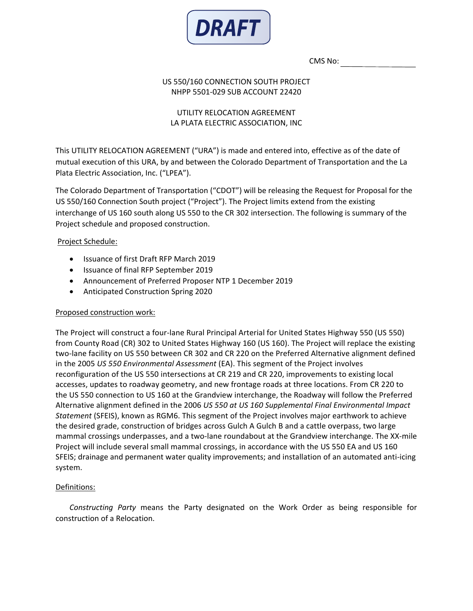

CMS No:

### US 550/160 CONNECTION SOUTH PROJECT NHPP 5501-029 SUB ACCOUNT 22420

# UTILITY RELOCATION AGREEMENT LA PLATA ELECTRIC ASSOCIATION, INC

This UTILITY RELOCATION AGREEMENT ("URA") is made and entered into, effective as of the date of mutual execution of this URA, by and between the Colorado Department of Transportation and the La Plata Electric Association, Inc. ("LPEA").

The Colorado Department of Transportation ("CDOT") will be releasing the Request for Proposal for the US 550/160 Connection South project ("Project"). The Project limits extend from the existing interchange of US 160 south along US 550 to the CR 302 intersection. The following is summary of the Project schedule and proposed construction.

# Project Schedule:

- Issuance of first Draft RFP March 2019
- Issuance of final RFP September 2019
- Announcement of Preferred Proposer NTP 1 December 2019
- Anticipated Construction Spring 2020

### Proposed construction work:

The Project will construct a four-lane Rural Principal Arterial for United States Highway 550 (US 550) from County Road (CR) 302 to United States Highway 160 (US 160). The Project will replace the existing two-lane facility on US 550 between CR 302 and CR 220 on the Preferred Alternative alignment defined in the 2005 *US 550 Environmental Assessment* (EA). This segment of the Project involves reconfiguration of the US 550 intersections at CR 219 and CR 220, improvements to existing local accesses, updates to roadway geometry, and new frontage roads at three locations. From CR 220 to the US 550 connection to US 160 at the Grandview interchange, the Roadway will follow the Preferred Alternative alignment defined in the 2006 *US 550 at US 160 Supplemental Final Environmental Impact Statement* (SFEIS), known as RGM6. This segment of the Project involves major earthwork to achieve the desired grade, construction of bridges across Gulch A Gulch B and a cattle overpass, two large mammal crossings underpasses, and a two-lane roundabout at the Grandview interchange. The XX-mile Project will include several small mammal crossings, in accordance with the US 550 EA and US 160 SFEIS; drainage and permanent water quality improvements; and installation of an automated anti-icing system.

# Definitions:

*Constructing Party* means the Party designated on the Work Order as being responsible for construction of a Relocation.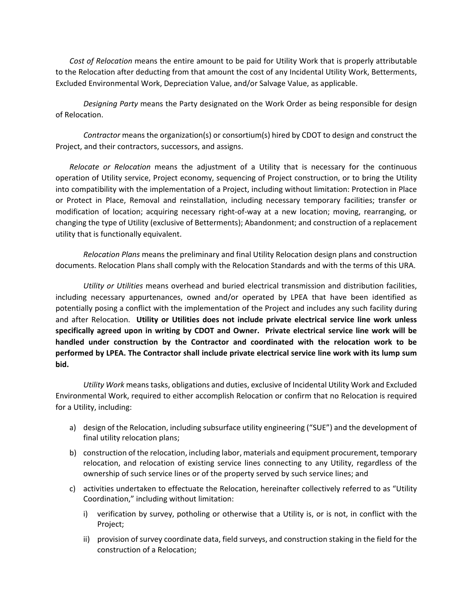*Cost of Relocation* means the entire amount to be paid for Utility Work that is properly attributable to the Relocation after deducting from that amount the cost of any Incidental Utility Work, Betterments, Excluded Environmental Work, Depreciation Value, and/or Salvage Value, as applicable.

*Designing Party* means the Party designated on the Work Order as being responsible for design of Relocation.

*Contractor* means the organization(s) or consortium(s) hired by CDOT to design and construct the Project, and their contractors, successors, and assigns.

*Relocate or Relocation* means the adjustment of a Utility that is necessary for the continuous operation of Utility service, Project economy, sequencing of Project construction, or to bring the Utility into compatibility with the implementation of a Project, including without limitation: Protection in Place or Protect in Place, Removal and reinstallation, including necessary temporary facilities; transfer or modification of location; acquiring necessary right-of-way at a new location; moving, rearranging, or changing the type of Utility (exclusive of Betterments); Abandonment; and construction of a replacement utility that is functionally equivalent.

*Relocation Plans* means the preliminary and final Utility Relocation design plans and construction documents. Relocation Plans shall comply with the Relocation Standards and with the terms of this URA.

*Utility or Utilities* means overhead and buried electrical transmission and distribution facilities, including necessary appurtenances, owned and/or operated by LPEA that have been identified as potentially posing a conflict with the implementation of the Project and includes any such facility during and after Relocation. **Utility or Utilities does not include private electrical service line work unless specifically agreed upon in writing by CDOT and Owner. Private electrical service line work will be handled under construction by the Contractor and coordinated with the relocation work to be performed by LPEA. The Contractor shall include private electrical service line work with its lump sum bid.**

*Utility Work* means tasks, obligations and duties, exclusive of Incidental Utility Work and Excluded Environmental Work, required to either accomplish Relocation or confirm that no Relocation is required for a Utility, including:

- a) design of the Relocation, including subsurface utility engineering ("SUE") and the development of final utility relocation plans;
- b) construction of the relocation, including labor, materials and equipment procurement, temporary relocation, and relocation of existing service lines connecting to any Utility, regardless of the ownership of such service lines or of the property served by such service lines; and
- c) activities undertaken to effectuate the Relocation, hereinafter collectively referred to as "Utility Coordination," including without limitation:
	- i) verification by survey, potholing or otherwise that a Utility is, or is not, in conflict with the Project;
	- ii) provision of survey coordinate data, field surveys, and construction staking in the field for the construction of a Relocation;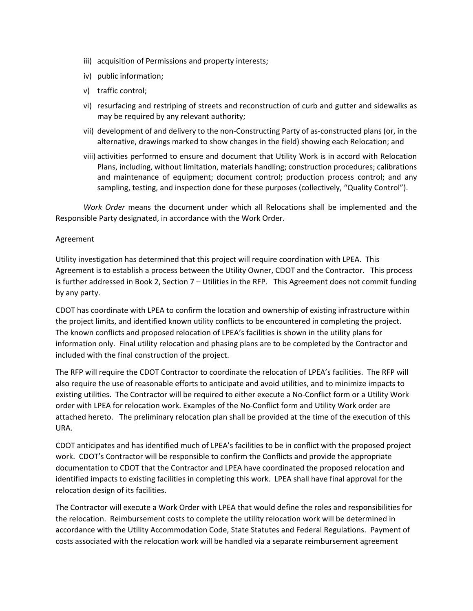- iii) acquisition of Permissions and property interests;
- iv) public information;
- v) traffic control;
- vi) resurfacing and restriping of streets and reconstruction of curb and gutter and sidewalks as may be required by any relevant authority;
- vii) development of and delivery to the non-Constructing Party of as-constructed plans (or, in the alternative, drawings marked to show changes in the field) showing each Relocation; and
- viii) activities performed to ensure and document that Utility Work is in accord with Relocation Plans, including, without limitation, materials handling; construction procedures; calibrations and maintenance of equipment; document control; production process control; and any sampling, testing, and inspection done for these purposes (collectively, "Quality Control").

*Work Order* means the document under which all Relocations shall be implemented and the Responsible Party designated, in accordance with the Work Order.

#### Agreement

Utility investigation has determined that this project will require coordination with LPEA. This Agreement is to establish a process between the Utility Owner, CDOT and the Contractor. This process is further addressed in Book 2, Section 7 – Utilities in the RFP. This Agreement does not commit funding by any party.

CDOT has coordinate with LPEA to confirm the location and ownership of existing infrastructure within the project limits, and identified known utility conflicts to be encountered in completing the project. The known conflicts and proposed relocation of LPEA's facilities is shown in the utility plans for information only. Final utility relocation and phasing plans are to be completed by the Contractor and included with the final construction of the project.

The RFP will require the CDOT Contractor to coordinate the relocation of LPEA's facilities. The RFP will also require the use of reasonable efforts to anticipate and avoid utilities, and to minimize impacts to existing utilities. The Contractor will be required to either execute a No-Conflict form or a Utility Work order with LPEA for relocation work. Examples of the No-Conflict form and Utility Work order are attached hereto. The preliminary relocation plan shall be provided at the time of the execution of this URA.

CDOT anticipates and has identified much of LPEA's facilities to be in conflict with the proposed project work. CDOT's Contractor will be responsible to confirm the Conflicts and provide the appropriate documentation to CDOT that the Contractor and LPEA have coordinated the proposed relocation and identified impacts to existing facilities in completing this work. LPEA shall have final approval for the relocation design of its facilities.

The Contractor will execute a Work Order with LPEA that would define the roles and responsibilities for the relocation. Reimbursement costs to complete the utility relocation work will be determined in accordance with the Utility Accommodation Code, State Statutes and Federal Regulations. Payment of costs associated with the relocation work will be handled via a separate reimbursement agreement